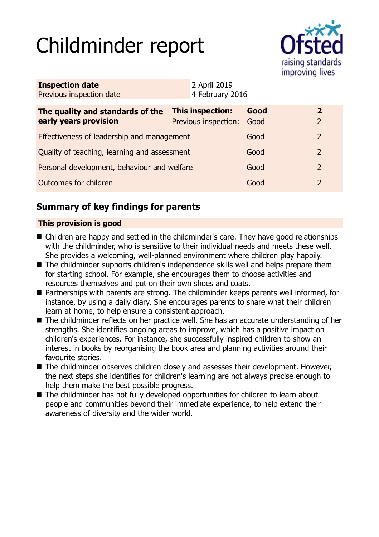# Childminder report



| <b>Inspection date</b><br>Previous inspection date        |                                                 | 2 April 2019<br>4 February 2016 |              |                                  |
|-----------------------------------------------------------|-------------------------------------------------|---------------------------------|--------------|----------------------------------|
| The quality and standards of the<br>early years provision | <b>This inspection:</b><br>Previous inspection: |                                 | Good<br>Good | $\overline{2}$<br>$\overline{2}$ |
| Effectiveness of leadership and management                |                                                 |                                 | Good         | $\mathcal{L}$                    |
| Quality of teaching, learning and assessment              |                                                 |                                 | Good         | $\overline{2}$                   |
| Personal development, behaviour and welfare               |                                                 |                                 | Good         | 2                                |
| Outcomes for children                                     |                                                 |                                 | Good         | $\overline{2}$                   |

# **Summary of key findings for parents**

## **This provision is good**

- Children are happy and settled in the childminder's care. They have good relationships with the childminder, who is sensitive to their individual needs and meets these well. She provides a welcoming, well-planned environment where children play happily.
- The childminder supports children's independence skills well and helps prepare them for starting school. For example, she encourages them to choose activities and resources themselves and put on their own shoes and coats.
- Partnerships with parents are strong. The childminder keeps parents well informed, for instance, by using a daily diary. She encourages parents to share what their children learn at home, to help ensure a consistent approach.
- The childminder reflects on her practice well. She has an accurate understanding of her strengths. She identifies ongoing areas to improve, which has a positive impact on children's experiences. For instance, she successfully inspired children to show an interest in books by reorganising the book area and planning activities around their favourite stories.
- The childminder observes children closely and assesses their development. However, the next steps she identifies for children's learning are not always precise enough to help them make the best possible progress.
- $\blacksquare$  The childminder has not fully developed opportunities for children to learn about people and communities beyond their immediate experience, to help extend their awareness of diversity and the wider world.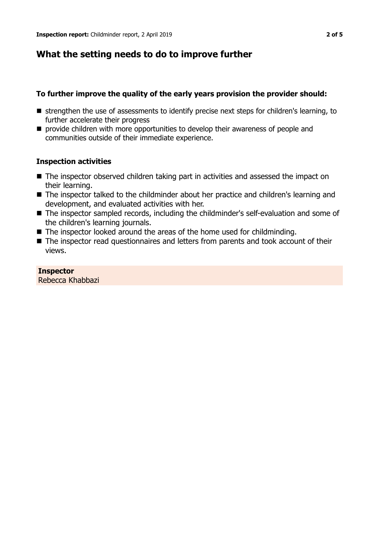## **What the setting needs to do to improve further**

## **To further improve the quality of the early years provision the provider should:**

- $\blacksquare$  strengthen the use of assessments to identify precise next steps for children's learning, to further accelerate their progress
- $\blacksquare$  provide children with more opportunities to develop their awareness of people and communities outside of their immediate experience.

## **Inspection activities**

- $\blacksquare$  The inspector observed children taking part in activities and assessed the impact on their learning.
- The inspector talked to the childminder about her practice and children's learning and development, and evaluated activities with her.
- The inspector sampled records, including the childminder's self-evaluation and some of the children's learning journals.
- $\blacksquare$  The inspector looked around the areas of the home used for childminding.
- The inspector read questionnaires and letters from parents and took account of their views.

#### **Inspector**

Rebecca Khabbazi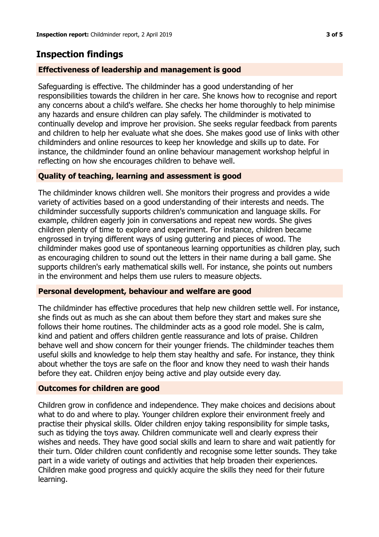## **Inspection findings**

## **Effectiveness of leadership and management is good**

Safeguarding is effective. The childminder has a good understanding of her responsibilities towards the children in her care. She knows how to recognise and report any concerns about a child's welfare. She checks her home thoroughly to help minimise any hazards and ensure children can play safely. The childminder is motivated to continually develop and improve her provision. She seeks regular feedback from parents and children to help her evaluate what she does. She makes good use of links with other childminders and online resources to keep her knowledge and skills up to date. For instance, the childminder found an online behaviour management workshop helpful in reflecting on how she encourages children to behave well.

## **Quality of teaching, learning and assessment is good**

The childminder knows children well. She monitors their progress and provides a wide variety of activities based on a good understanding of their interests and needs. The childminder successfully supports children's communication and language skills. For example, children eagerly join in conversations and repeat new words. She gives children plenty of time to explore and experiment. For instance, children became engrossed in trying different ways of using guttering and pieces of wood. The childminder makes good use of spontaneous learning opportunities as children play, such as encouraging children to sound out the letters in their name during a ball game. She supports children's early mathematical skills well. For instance, she points out numbers in the environment and helps them use rulers to measure objects.

#### **Personal development, behaviour and welfare are good**

The childminder has effective procedures that help new children settle well. For instance, she finds out as much as she can about them before they start and makes sure she follows their home routines. The childminder acts as a good role model. She is calm, kind and patient and offers children gentle reassurance and lots of praise. Children behave well and show concern for their younger friends. The childminder teaches them useful skills and knowledge to help them stay healthy and safe. For instance, they think about whether the toys are safe on the floor and know they need to wash their hands before they eat. Children enjoy being active and play outside every day.

#### **Outcomes for children are good**

Children grow in confidence and independence. They make choices and decisions about what to do and where to play. Younger children explore their environment freely and practise their physical skills. Older children enjoy taking responsibility for simple tasks, such as tidying the toys away. Children communicate well and clearly express their wishes and needs. They have good social skills and learn to share and wait patiently for their turn. Older children count confidently and recognise some letter sounds. They take part in a wide variety of outings and activities that help broaden their experiences. Children make good progress and quickly acquire the skills they need for their future learning.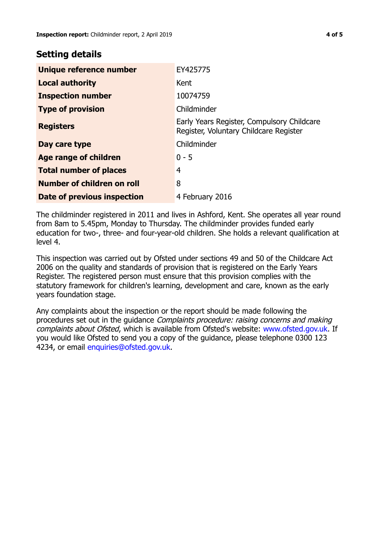## **Setting details**

| Unique reference number       | EY425775                                                                             |
|-------------------------------|--------------------------------------------------------------------------------------|
| <b>Local authority</b>        | Kent                                                                                 |
| <b>Inspection number</b>      | 10074759                                                                             |
| <b>Type of provision</b>      | Childminder                                                                          |
| <b>Registers</b>              | Early Years Register, Compulsory Childcare<br>Register, Voluntary Childcare Register |
| Day care type                 | Childminder                                                                          |
| Age range of children         | $0 - 5$                                                                              |
| <b>Total number of places</b> | $\overline{4}$                                                                       |
| Number of children on roll    | 8                                                                                    |
| Date of previous inspection   | 4 February 2016                                                                      |

The childminder registered in 2011 and lives in Ashford, Kent. She operates all year round from 8am to 5.45pm, Monday to Thursday. The childminder provides funded early education for two-, three- and four-year-old children. She holds a relevant qualification at level 4.

This inspection was carried out by Ofsted under sections 49 and 50 of the Childcare Act 2006 on the quality and standards of provision that is registered on the Early Years Register. The registered person must ensure that this provision complies with the statutory framework for children's learning, development and care, known as the early years foundation stage.

Any complaints about the inspection or the report should be made following the procedures set out in the guidance Complaints procedure: raising concerns and making complaints about Ofsted, which is available from Ofsted's website: www.ofsted.gov.uk. If you would like Ofsted to send you a copy of the guidance, please telephone 0300 123 4234, or email [enquiries@ofsted.gov.uk.](mailto:enquiries@ofsted.gov.uk)